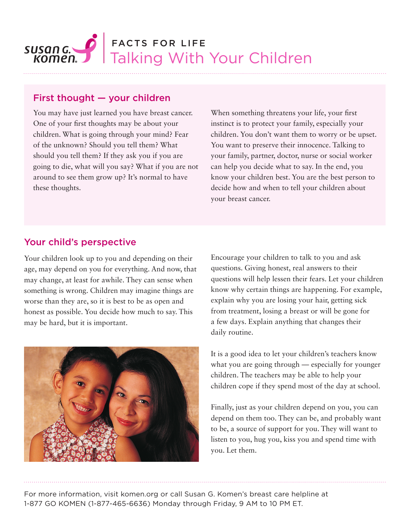

## First thought — your children

You may have just learned you have breast cancer. One of your first thoughts may be about your children. What is going through your mind? Fear of the unknown? Should you tell them? What should you tell them? If they ask you if you are going to die, what will you say? What if you are not around to see them grow up? It's normal to have these thoughts.

When something threatens your life, your first instinct is to protect your family, especially your children. You don't want them to worry or be upset. You want to preserve their innocence. Talking to your family, partner, doctor, nurse or social worker can help you decide what to say. In the end, you know your children best. You are the best person to decide how and when to tell your children about your breast cancer.

# Your child's perspective

Your children look up to you and depending on their age, may depend on you for everything. And now, that may change, at least for awhile. They can sense when something is wrong. Children may imagine things are worse than they are, so it is best to be as open and honest as possible. You decide how much to say. This may be hard, but it is important.



Encourage your children to talk to you and ask questions. Giving honest, real answers to their questions will help lessen their fears. Let your children know why certain things are happening. For example, explain why you are losing your hair, getting sick from treatment, losing a breast or will be gone for a few days. Explain anything that changes their daily routine.

It is a good idea to let your children's teachers know what you are going through — especially for younger children. The teachers may be able to help your children cope if they spend most of the day at school.

Finally, just as your children depend on you, you can depend on them too. They can be, and probably want to be, a source of support for you. They will want to listen to you, hug you, kiss you and spend time with you. Let them.

For more information, visit komen.org or call Susan G. Komen's breast care helpline at 1-877 GO KOMEN (1-877-465-6636) Monday through Friday, 9 AM to 10 PM ET.